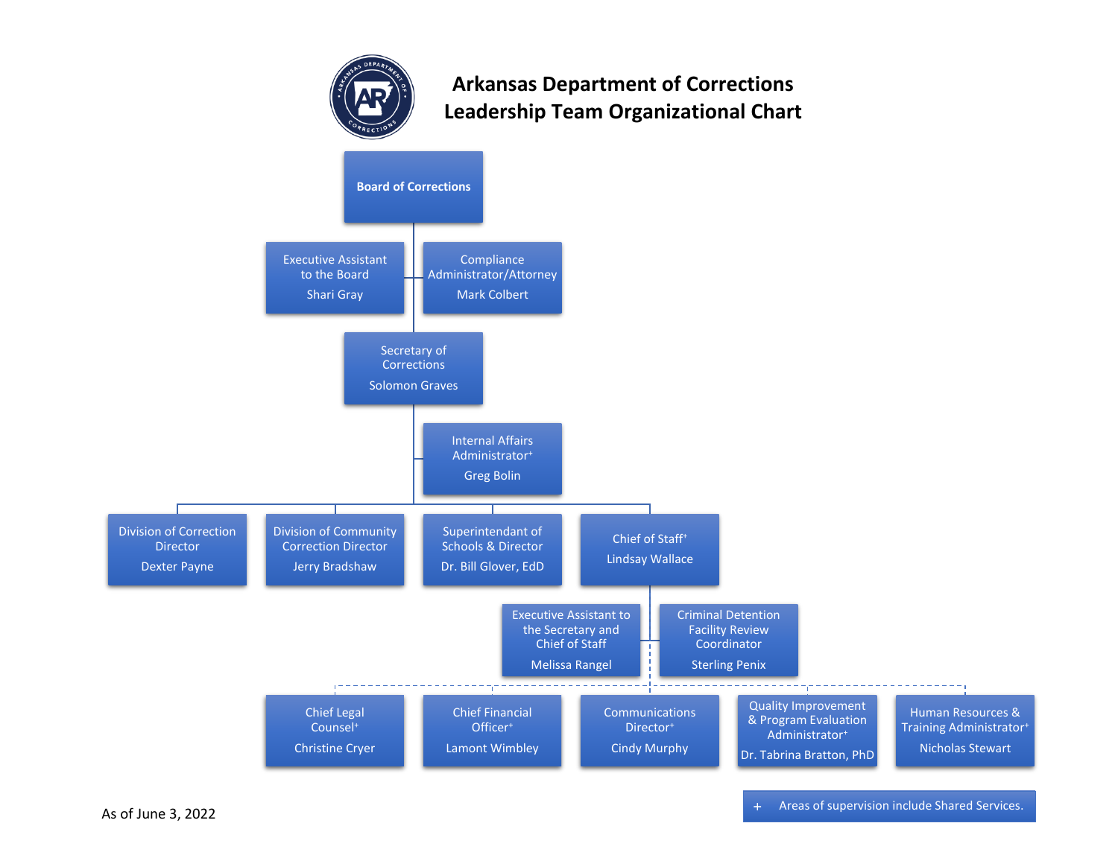